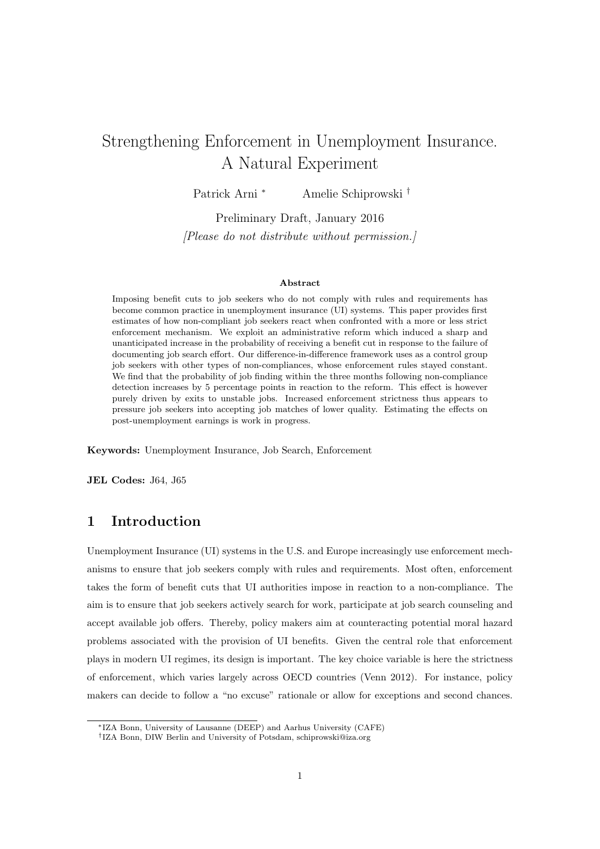# <span id="page-0-0"></span>Strengthening Enforcement in Unemployment Insurance. A Natural Experiment

Patrick Arni <sup>∗</sup> Amelie Schiprowski †

Preliminary Draft, January 2016 [Please do not distribute without permission.]

#### Abstract

Imposing benefit cuts to job seekers who do not comply with rules and requirements has become common practice in unemployment insurance (UI) systems. This paper provides first estimates of how non-compliant job seekers react when confronted with a more or less strict enforcement mechanism. We exploit an administrative reform which induced a sharp and unanticipated increase in the probability of receiving a benefit cut in response to the failure of documenting job search effort. Our difference-in-difference framework uses as a control group job seekers with other types of non-compliances, whose enforcement rules stayed constant. We find that the probability of job finding within the three months following non-compliance detection increases by 5 percentage points in reaction to the reform. This effect is however purely driven by exits to unstable jobs. Increased enforcement strictness thus appears to pressure job seekers into accepting job matches of lower quality. Estimating the effects on post-unemployment earnings is work in progress.

Keywords: Unemployment Insurance, Job Search, Enforcement

JEL Codes: J64, J65

# 1 Introduction

Unemployment Insurance (UI) systems in the U.S. and Europe increasingly use enforcement mechanisms to ensure that job seekers comply with rules and requirements. Most often, enforcement takes the form of benefit cuts that UI authorities impose in reaction to a non-compliance. The aim is to ensure that job seekers actively search for work, participate at job search counseling and accept available job offers. Thereby, policy makers aim at counteracting potential moral hazard problems associated with the provision of UI benefits. Given the central role that enforcement plays in modern UI regimes, its design is important. The key choice variable is here the strictness of enforcement, which varies largely across OECD countries (Venn 2012). For instance, policy makers can decide to follow a "no excuse" rationale or allow for exceptions and second chances.

<sup>∗</sup>IZA Bonn, University of Lausanne (DEEP) and Aarhus University (CAFE)

<sup>†</sup> IZA Bonn, DIW Berlin and University of Potsdam, schiprowski@iza.org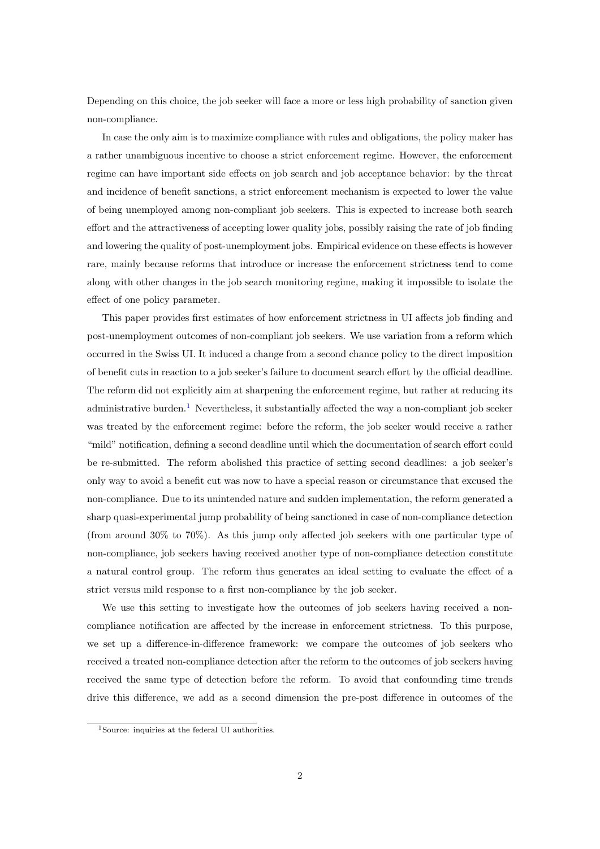Depending on this choice, the job seeker will face a more or less high probability of sanction given non-compliance.

In case the only aim is to maximize compliance with rules and obligations, the policy maker has a rather unambiguous incentive to choose a strict enforcement regime. However, the enforcement regime can have important side effects on job search and job acceptance behavior: by the threat and incidence of benefit sanctions, a strict enforcement mechanism is expected to lower the value of being unemployed among non-compliant job seekers. This is expected to increase both search effort and the attractiveness of accepting lower quality jobs, possibly raising the rate of job finding and lowering the quality of post-unemployment jobs. Empirical evidence on these effects is however rare, mainly because reforms that introduce or increase the enforcement strictness tend to come along with other changes in the job search monitoring regime, making it impossible to isolate the effect of one policy parameter.

This paper provides first estimates of how enforcement strictness in UI affects job finding and post-unemployment outcomes of non-compliant job seekers. We use variation from a reform which occurred in the Swiss UI. It induced a change from a second chance policy to the direct imposition of benefit cuts in reaction to a job seeker's failure to document search effort by the official deadline. The reform did not explicitly aim at sharpening the enforcement regime, but rather at reducing its administrative burden.<sup>[1](#page-0-0)</sup> Nevertheless, it substantially affected the way a non-compliant job seeker was treated by the enforcement regime: before the reform, the job seeker would receive a rather "mild" notification, defining a second deadline until which the documentation of search effort could be re-submitted. The reform abolished this practice of setting second deadlines: a job seeker's only way to avoid a benefit cut was now to have a special reason or circumstance that excused the non-compliance. Due to its unintended nature and sudden implementation, the reform generated a sharp quasi-experimental jump probability of being sanctioned in case of non-compliance detection (from around 30% to 70%). As this jump only affected job seekers with one particular type of non-compliance, job seekers having received another type of non-compliance detection constitute a natural control group. The reform thus generates an ideal setting to evaluate the effect of a strict versus mild response to a first non-compliance by the job seeker.

We use this setting to investigate how the outcomes of job seekers having received a noncompliance notification are affected by the increase in enforcement strictness. To this purpose, we set up a difference-in-difference framework: we compare the outcomes of job seekers who received a treated non-compliance detection after the reform to the outcomes of job seekers having received the same type of detection before the reform. To avoid that confounding time trends drive this difference, we add as a second dimension the pre-post difference in outcomes of the

<sup>1</sup>Source: inquiries at the federal UI authorities.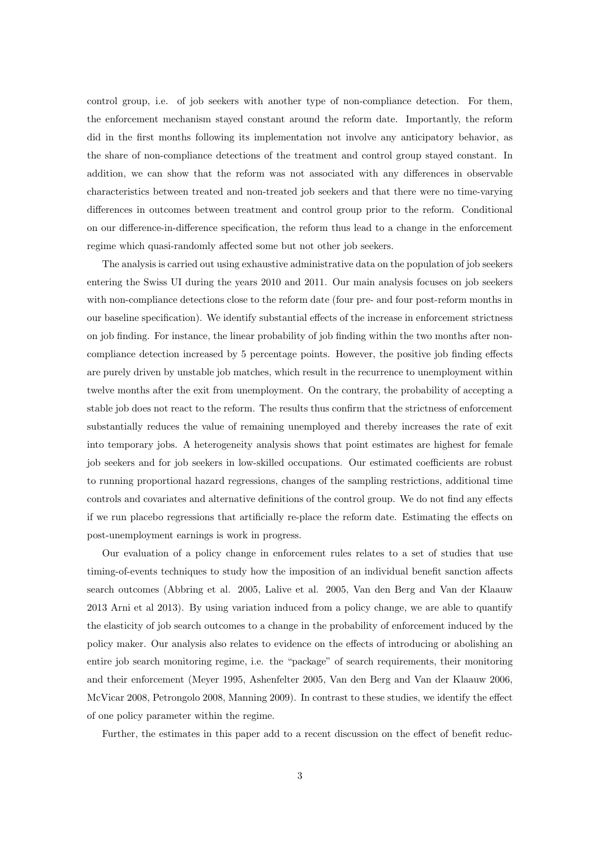control group, i.e. of job seekers with another type of non-compliance detection. For them, the enforcement mechanism stayed constant around the reform date. Importantly, the reform did in the first months following its implementation not involve any anticipatory behavior, as the share of non-compliance detections of the treatment and control group stayed constant. In addition, we can show that the reform was not associated with any differences in observable characteristics between treated and non-treated job seekers and that there were no time-varying differences in outcomes between treatment and control group prior to the reform. Conditional on our difference-in-difference specification, the reform thus lead to a change in the enforcement regime which quasi-randomly affected some but not other job seekers.

The analysis is carried out using exhaustive administrative data on the population of job seekers entering the Swiss UI during the years 2010 and 2011. Our main analysis focuses on job seekers with non-compliance detections close to the reform date (four pre- and four post-reform months in our baseline specification). We identify substantial effects of the increase in enforcement strictness on job finding. For instance, the linear probability of job finding within the two months after noncompliance detection increased by 5 percentage points. However, the positive job finding effects are purely driven by unstable job matches, which result in the recurrence to unemployment within twelve months after the exit from unemployment. On the contrary, the probability of accepting a stable job does not react to the reform. The results thus confirm that the strictness of enforcement substantially reduces the value of remaining unemployed and thereby increases the rate of exit into temporary jobs. A heterogeneity analysis shows that point estimates are highest for female job seekers and for job seekers in low-skilled occupations. Our estimated coefficients are robust to running proportional hazard regressions, changes of the sampling restrictions, additional time controls and covariates and alternative definitions of the control group. We do not find any effects if we run placebo regressions that artificially re-place the reform date. Estimating the effects on post-unemployment earnings is work in progress.

Our evaluation of a policy change in enforcement rules relates to a set of studies that use timing-of-events techniques to study how the imposition of an individual benefit sanction affects search outcomes (Abbring et al. 2005, Lalive et al. 2005, Van den Berg and Van der Klaauw 2013 Arni et al 2013). By using variation induced from a policy change, we are able to quantify the elasticity of job search outcomes to a change in the probability of enforcement induced by the policy maker. Our analysis also relates to evidence on the effects of introducing or abolishing an entire job search monitoring regime, i.e. the "package" of search requirements, their monitoring and their enforcement (Meyer 1995, Ashenfelter 2005, Van den Berg and Van der Klaauw 2006, McVicar 2008, Petrongolo 2008, Manning 2009). In contrast to these studies, we identify the effect of one policy parameter within the regime.

Further, the estimates in this paper add to a recent discussion on the effect of benefit reduc-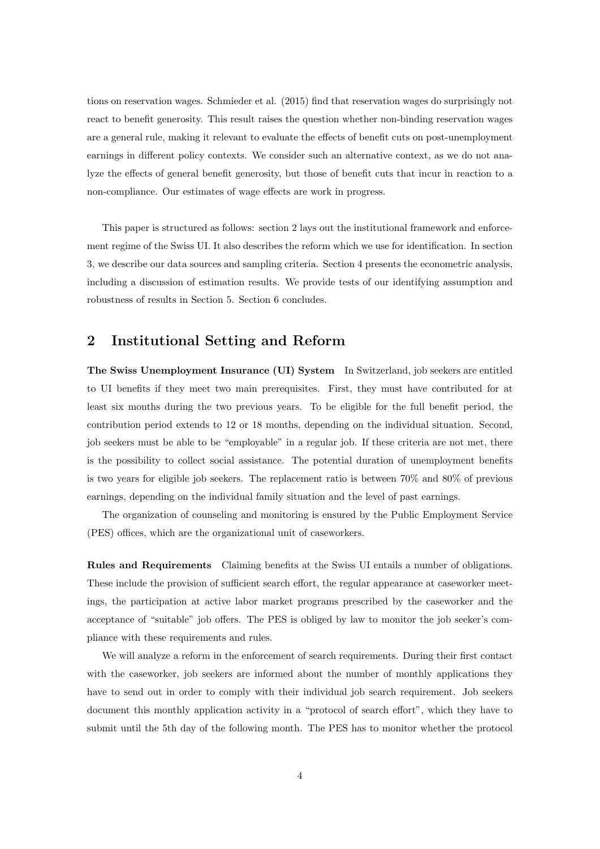tions on reservation wages. Schmieder et al. (2015) find that reservation wages do surprisingly not react to benefit generosity. This result raises the question whether non-binding reservation wages are a general rule, making it relevant to evaluate the effects of benefit cuts on post-unemployment earnings in different policy contexts. We consider such an alternative context, as we do not analyze the effects of general benefit generosity, but those of benefit cuts that incur in reaction to a non-compliance. Our estimates of wage effects are work in progress.

This paper is structured as follows: section 2 lays out the institutional framework and enforcement regime of the Swiss UI. It also describes the reform which we use for identification. In section 3, we describe our data sources and sampling criteria. Section 4 presents the econometric analysis, including a discussion of estimation results. We provide tests of our identifying assumption and robustness of results in Section 5. Section 6 concludes.

# 2 Institutional Setting and Reform

The Swiss Unemployment Insurance (UI) System In Switzerland, job seekers are entitled to UI benefits if they meet two main prerequisites. First, they must have contributed for at least six months during the two previous years. To be eligible for the full benefit period, the contribution period extends to 12 or 18 months, depending on the individual situation. Second, job seekers must be able to be "employable" in a regular job. If these criteria are not met, there is the possibility to collect social assistance. The potential duration of unemployment benefits is two years for eligible job seekers. The replacement ratio is between 70% and 80% of previous earnings, depending on the individual family situation and the level of past earnings.

The organization of counseling and monitoring is ensured by the Public Employment Service (PES) offices, which are the organizational unit of caseworkers.

Rules and Requirements Claiming benefits at the Swiss UI entails a number of obligations. These include the provision of sufficient search effort, the regular appearance at caseworker meetings, the participation at active labor market programs prescribed by the caseworker and the acceptance of "suitable" job offers. The PES is obliged by law to monitor the job seeker's compliance with these requirements and rules.

We will analyze a reform in the enforcement of search requirements. During their first contact with the caseworker, job seekers are informed about the number of monthly applications they have to send out in order to comply with their individual job search requirement. Job seekers document this monthly application activity in a "protocol of search effort", which they have to submit until the 5th day of the following month. The PES has to monitor whether the protocol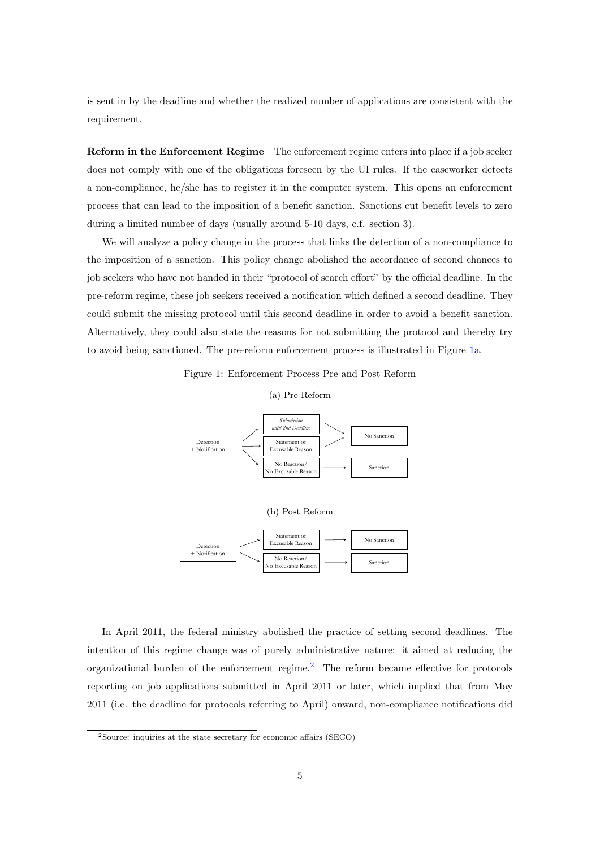is sent in by the deadline and whether the realized number of applications are consistent with the requirement.

Reform in the Enforcement Regime The enforcement regime enters into place if a job seeker does not comply with one of the obligations foreseen by the UI rules. If the caseworker detects a non-compliance, he/she has to register it in the computer system. This opens an enforcement process that can lead to the imposition of a benefit sanction. Sanctions cut benefit levels to zero during a limited number of days (usually around 5-10 days, c.f. section 3).

We will analyze a policy change in the process that links the detection of a non-compliance to the imposition of a sanction. This policy change abolished the accordance of second chances to job seekers who have not handed in their "protocol of search effort" by the official deadline. In the pre-reform regime, these job seekers received a notification which defined a second deadline. They could submit the missing protocol until this second deadline in order to avoid a benefit sanction. Alternatively, they could also state the reasons for not submitting the protocol and thereby try to avoid being sanctioned. The pre-reform enforcement process is illustrated in Figure [1a.](#page-4-0)

Figure 1: Enforcement Process Pre and Post Reform

(a) Pre Reform

<span id="page-4-0"></span>

In April 2011, the federal ministry abolished the practice of setting second deadlines. The intention of this regime change was of purely administrative nature: it aimed at reducing the organizational burden of the enforcement regime.[2](#page-0-0) The reform became effective for protocols reporting on job applications submitted in April 2011 or later, which implied that from May 2011 (i.e. the deadline for protocols referring to April) onward, non-compliance notifications did

<sup>2</sup>Source: inquiries at the state secretary for economic affairs (SECO)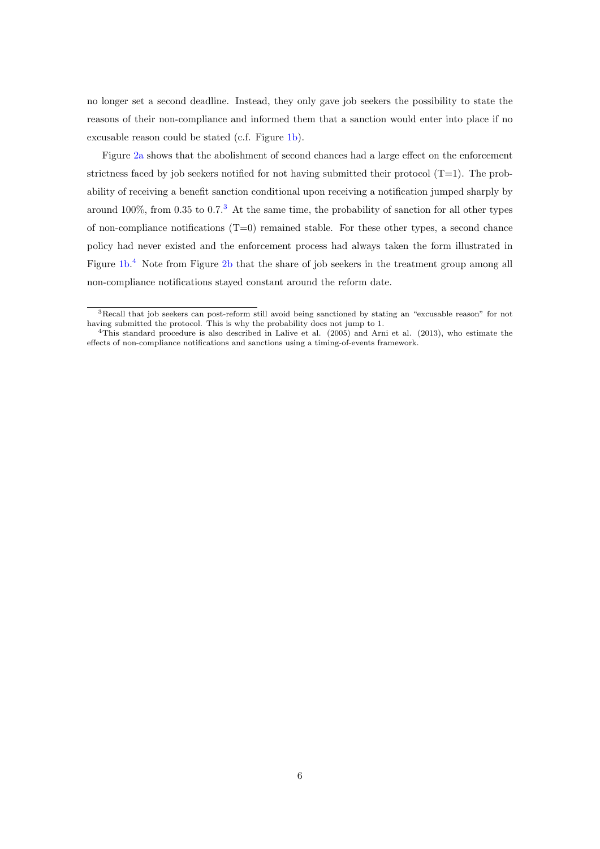no longer set a second deadline. Instead, they only gave job seekers the possibility to state the reasons of their non-compliance and informed them that a sanction would enter into place if no excusable reason could be stated (c.f. Figure [1b\)](#page-4-0).

Figure [2a](#page-6-0) shows that the abolishment of second chances had a large effect on the enforcement strictness faced by job seekers notified for not having submitted their protocol  $(T=1)$ . The probability of receiving a benefit sanction conditional upon receiving a notification jumped sharply by around 100%, from 0.[3](#page-0-0)5 to  $0.7<sup>3</sup>$  At the same time, the probability of sanction for all other types of non-compliance notifications (T=0) remained stable. For these other types, a second chance policy had never existed and the enforcement process had always taken the form illustrated in Figure [1b.](#page-4-0)<sup>[4](#page-0-0)</sup> Note from Figure [2b](#page-6-0) that the share of job seekers in the treatment group among all non-compliance notifications stayed constant around the reform date.

<sup>3</sup>Recall that job seekers can post-reform still avoid being sanctioned by stating an "excusable reason" for not having submitted the protocol. This is why the probability does not jump to 1.

<sup>4</sup>This standard procedure is also described in Lalive et al. (2005) and Arni et al. (2013), who estimate the effects of non-compliance notifications and sanctions using a timing-of-events framework.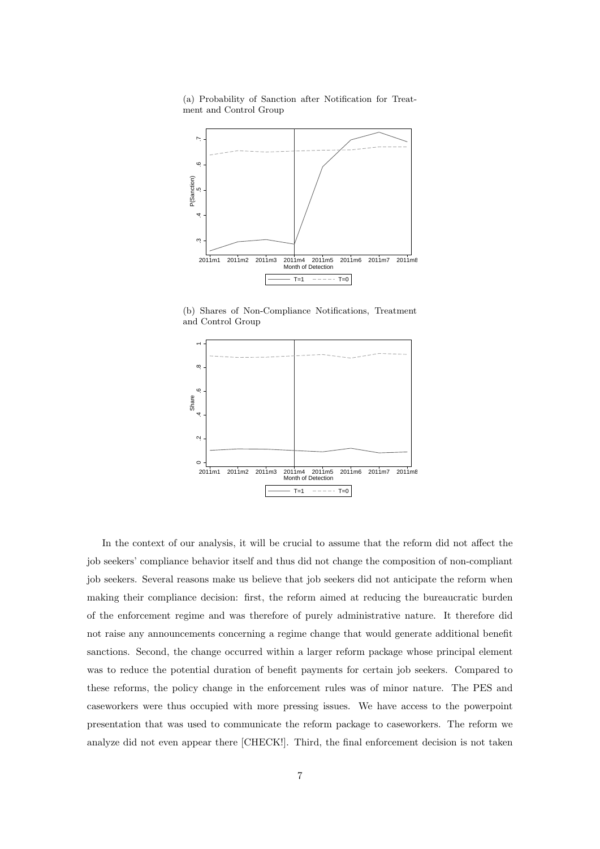<span id="page-6-0"></span>(a) Probability of Sanction after Notification for Treatment and Control Group



(b) Shares of Non-Compliance Notifications, Treatment and Control Group



In the context of our analysis, it will be crucial to assume that the reform did not affect the job seekers' compliance behavior itself and thus did not change the composition of non-compliant job seekers. Several reasons make us believe that job seekers did not anticipate the reform when making their compliance decision: first, the reform aimed at reducing the bureaucratic burden of the enforcement regime and was therefore of purely administrative nature. It therefore did not raise any announcements concerning a regime change that would generate additional benefit sanctions. Second, the change occurred within a larger reform package whose principal element was to reduce the potential duration of benefit payments for certain job seekers. Compared to these reforms, the policy change in the enforcement rules was of minor nature. The PES and caseworkers were thus occupied with more pressing issues. We have access to the powerpoint presentation that was used to communicate the reform package to caseworkers. The reform we analyze did not even appear there [CHECK!]. Third, the final enforcement decision is not taken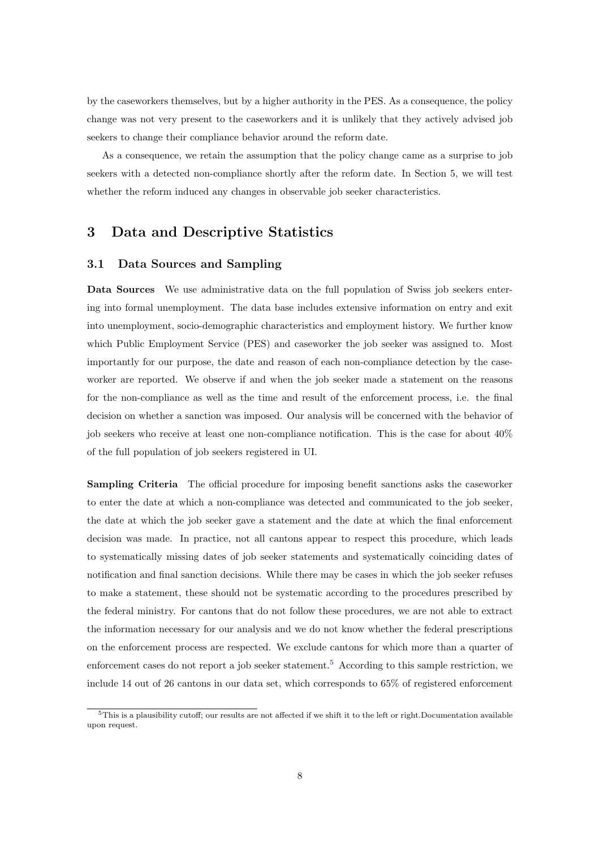by the caseworkers themselves, but by a higher authority in the PES. As a consequence, the policy change was not very present to the caseworkers and it is unlikely that they actively advised job seekers to change their compliance behavior around the reform date.

As a consequence, we retain the assumption that the policy change came as a surprise to job seekers with a detected non-compliance shortly after the reform date. In Section 5, we will test whether the reform induced any changes in observable job seeker characteristics.

# 3 Data and Descriptive Statistics

### 3.1 Data Sources and Sampling

Data Sources We use administrative data on the full population of Swiss job seekers entering into formal unemployment. The data base includes extensive information on entry and exit into unemployment, socio-demographic characteristics and employment history. We further know which Public Employment Service (PES) and caseworker the job seeker was assigned to. Most importantly for our purpose, the date and reason of each non-compliance detection by the caseworker are reported. We observe if and when the job seeker made a statement on the reasons for the non-compliance as well as the time and result of the enforcement process, i.e. the final decision on whether a sanction was imposed. Our analysis will be concerned with the behavior of job seekers who receive at least one non-compliance notification. This is the case for about 40% of the full population of job seekers registered in UI.

Sampling Criteria The official procedure for imposing benefit sanctions asks the caseworker to enter the date at which a non-compliance was detected and communicated to the job seeker, the date at which the job seeker gave a statement and the date at which the final enforcement decision was made. In practice, not all cantons appear to respect this procedure, which leads to systematically missing dates of job seeker statements and systematically coinciding dates of notification and final sanction decisions. While there may be cases in which the job seeker refuses to make a statement, these should not be systematic according to the procedures prescribed by the federal ministry. For cantons that do not follow these procedures, we are not able to extract the information necessary for our analysis and we do not know whether the federal prescriptions on the enforcement process are respected. We exclude cantons for which more than a quarter of enforcement cases do not report a job seeker statement.<sup>[5](#page-0-0)</sup> According to this sample restriction, we include 14 out of 26 cantons in our data set, which corresponds to 65% of registered enforcement

<sup>5</sup>This is a plausibility cutoff; our results are not affected if we shift it to the left or right.Documentation available upon request.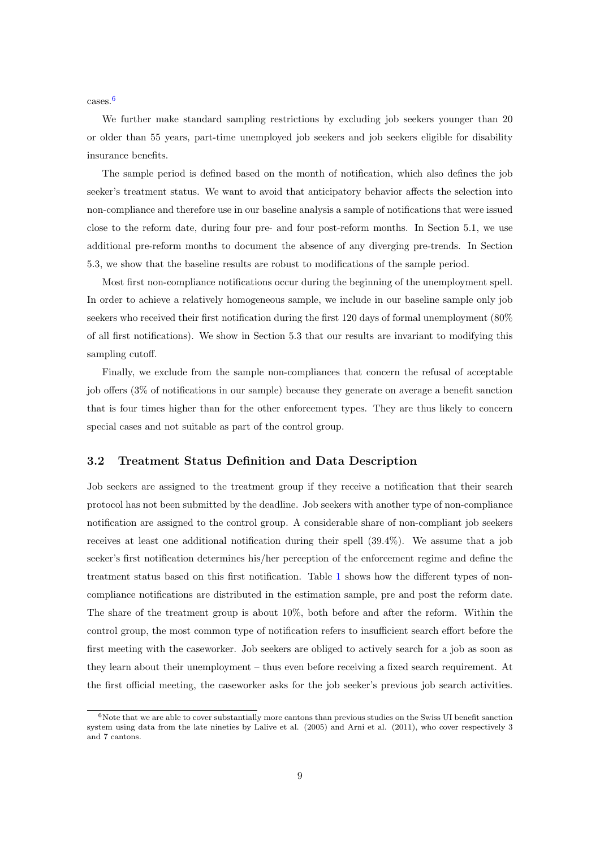cases.[6](#page-0-0)

We further make standard sampling restrictions by excluding job seekers younger than 20 or older than 55 years, part-time unemployed job seekers and job seekers eligible for disability insurance benefits.

The sample period is defined based on the month of notification, which also defines the job seeker's treatment status. We want to avoid that anticipatory behavior affects the selection into non-compliance and therefore use in our baseline analysis a sample of notifications that were issued close to the reform date, during four pre- and four post-reform months. In Section 5.1, we use additional pre-reform months to document the absence of any diverging pre-trends. In Section 5.3, we show that the baseline results are robust to modifications of the sample period.

Most first non-compliance notifications occur during the beginning of the unemployment spell. In order to achieve a relatively homogeneous sample, we include in our baseline sample only job seekers who received their first notification during the first 120 days of formal unemployment (80% of all first notifications). We show in Section 5.3 that our results are invariant to modifying this sampling cutoff.

Finally, we exclude from the sample non-compliances that concern the refusal of acceptable job offers (3% of notifications in our sample) because they generate on average a benefit sanction that is four times higher than for the other enforcement types. They are thus likely to concern special cases and not suitable as part of the control group.

### 3.2 Treatment Status Definition and Data Description

Job seekers are assigned to the treatment group if they receive a notification that their search protocol has not been submitted by the deadline. Job seekers with another type of non-compliance notification are assigned to the control group. A considerable share of non-compliant job seekers receives at least one additional notification during their spell (39.4%). We assume that a job seeker's first notification determines his/her perception of the enforcement regime and define the treatment status based on this first notification. Table [1](#page-9-0) shows how the different types of noncompliance notifications are distributed in the estimation sample, pre and post the reform date. The share of the treatment group is about 10%, both before and after the reform. Within the control group, the most common type of notification refers to insufficient search effort before the first meeting with the caseworker. Job seekers are obliged to actively search for a job as soon as they learn about their unemployment – thus even before receiving a fixed search requirement. At the first official meeting, the caseworker asks for the job seeker's previous job search activities.

 $6N$ ote that we are able to cover substantially more cantons than previous studies on the Swiss UI benefit sanction system using data from the late nineties by Lalive et al. (2005) and Arni et al. (2011), who cover respectively 3 and 7 cantons.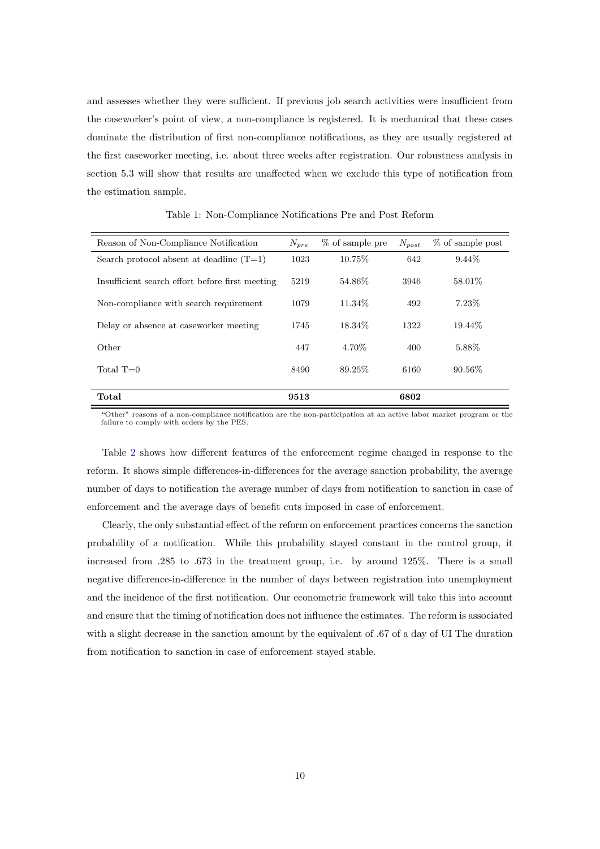and assesses whether they were sufficient. If previous job search activities were insufficient from the caseworker's point of view, a non-compliance is registered. It is mechanical that these cases dominate the distribution of first non-compliance notifications, as they are usually registered at the first caseworker meeting, i.e. about three weeks after registration. Our robustness analysis in section 5.3 will show that results are unaffected when we exclude this type of notification from the estimation sample.

<span id="page-9-0"></span>

| Reason of Non-Compliance Notification           | $N_{pre}$ | % of sample pre | $N_{post}$ | % of sample post |
|-------------------------------------------------|-----------|-----------------|------------|------------------|
| Search protocol absent at deadline $(T=1)$      | 1023      | 10.75\%         | 642        | $9.44\%$         |
| Insufficient search effort before first meeting | 5219      | 54.86\%         | 3946       | 58.01\%          |
| Non-compliance with search requirement          | 1079      | 11.34\%         | 492        | $7.23\%$         |
| Delay or absence at caseworker meeting          | 1745      | 18.34\%         | 1322       | 19.44\%          |
| Other                                           | 447       | 4.70\%          | 400        | 5.88\%           |
| Total $T=0$                                     | 8490      | 89.25\%         | 6160       | $90.56\%$        |
| Total                                           | 9513      |                 | 6802       |                  |

Table 1: Non-Compliance Notifications Pre and Post Reform

"Other" reasons of a non-compliance notification are the non-participation at an active labor market program or the failure to comply with orders by the PES.

Table [2](#page-10-0) shows how different features of the enforcement regime changed in response to the reform. It shows simple differences-in-differences for the average sanction probability, the average number of days to notification the average number of days from notification to sanction in case of enforcement and the average days of benefit cuts imposed in case of enforcement.

Clearly, the only substantial effect of the reform on enforcement practices concerns the sanction probability of a notification. While this probability stayed constant in the control group, it increased from .285 to .673 in the treatment group, i.e. by around 125%. There is a small negative difference-in-difference in the number of days between registration into unemployment and the incidence of the first notification. Our econometric framework will take this into account and ensure that the timing of notification does not influence the estimates. The reform is associated with a slight decrease in the sanction amount by the equivalent of .67 of a day of UI The duration from notification to sanction in case of enforcement stayed stable.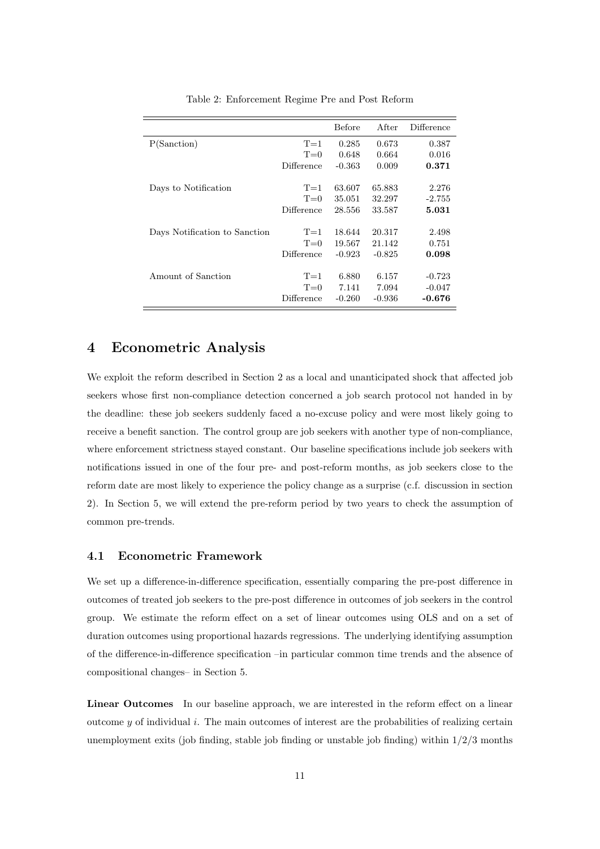<span id="page-10-0"></span>

|                               |            | Before   | After    | Difference |
|-------------------------------|------------|----------|----------|------------|
| P(Sanction)                   | $T=1$      | 0.285    | 0.673    | 0.387      |
|                               | $T=0$      | 0.648    | 0.664    | 0.016      |
|                               | Difference | $-0.363$ | 0.009    | 0.371      |
|                               |            |          |          |            |
| Days to Notification          | $T=1$      | 63.607   | 65.883   | 2.276      |
|                               | $T=0$      | 35.051   | 32.297   | $-2.755$   |
|                               | Difference | 28.556   | 33.587   | 5.031      |
|                               |            |          |          |            |
| Days Notification to Sanction | $T=1$      | 18.644   | 20.317   | 2.498      |
|                               | $T=0$      | 19.567   | 21.142   | 0.751      |
|                               | Difference | $-0.923$ | $-0.825$ | 0.098      |
|                               |            |          |          |            |
| Amount of Sanction            | $T=1$      | 6.880    | 6.157    | $-0.723$   |
|                               | $T=0$      | 7.141    | 7.094    | $-0.047$   |
|                               | Difference | $-0.260$ | $-0.936$ | -0.676     |

Table 2: Enforcement Regime Pre and Post Reform

## 4 Econometric Analysis

We exploit the reform described in Section 2 as a local and unanticipated shock that affected job seekers whose first non-compliance detection concerned a job search protocol not handed in by the deadline: these job seekers suddenly faced a no-excuse policy and were most likely going to receive a benefit sanction. The control group are job seekers with another type of non-compliance, where enforcement strictness stayed constant. Our baseline specifications include job seekers with notifications issued in one of the four pre- and post-reform months, as job seekers close to the reform date are most likely to experience the policy change as a surprise (c.f. discussion in section 2). In Section 5, we will extend the pre-reform period by two years to check the assumption of common pre-trends.

### 4.1 Econometric Framework

We set up a difference-in-difference specification, essentially comparing the pre-post difference in outcomes of treated job seekers to the pre-post difference in outcomes of job seekers in the control group. We estimate the reform effect on a set of linear outcomes using OLS and on a set of duration outcomes using proportional hazards regressions. The underlying identifying assumption of the difference-in-difference specification –in particular common time trends and the absence of compositional changes– in Section 5.

Linear Outcomes In our baseline approach, we are interested in the reform effect on a linear outcome  $y$  of individual  $i$ . The main outcomes of interest are the probabilities of realizing certain unemployment exits (job finding, stable job finding or unstable job finding) within  $1/2/3$  months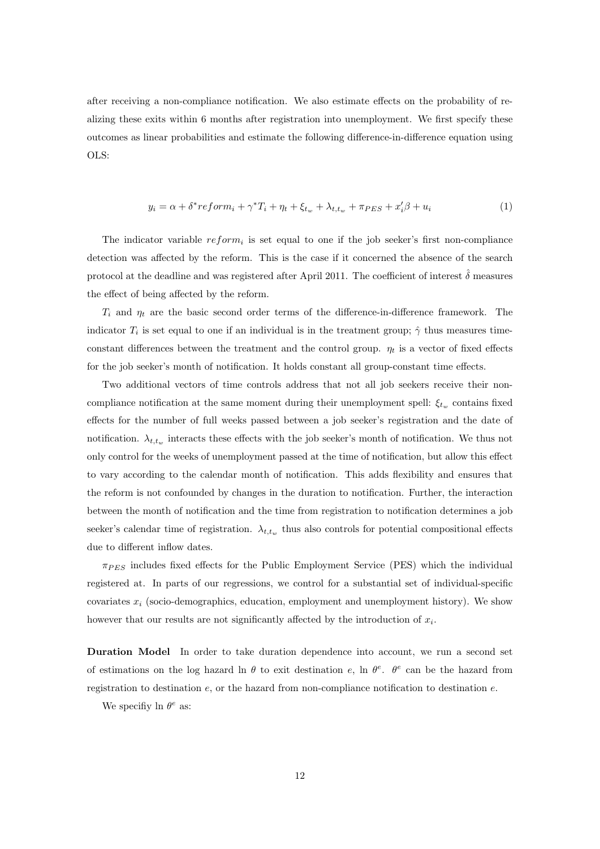after receiving a non-compliance notification. We also estimate effects on the probability of realizing these exits within 6 months after registration into unemployment. We first specify these outcomes as linear probabilities and estimate the following difference-in-difference equation using OLS:

<span id="page-11-0"></span>
$$
y_i = \alpha + \delta^* reform_i + \gamma^* T_i + \eta_t + \xi_{t_w} + \lambda_{t,t_w} + \pi_{PES} + x_i'\beta + u_i
$$
\n<sup>(1)</sup>

The indicator variable  $reform_i$  is set equal to one if the job seeker's first non-compliance detection was affected by the reform. This is the case if it concerned the absence of the search protocol at the deadline and was registered after April 2011. The coefficient of interest  $\hat{\delta}$  measures the effect of being affected by the reform.

 $T_i$  and  $\eta_t$  are the basic second order terms of the difference-in-difference framework. The indicator  $T_i$  is set equal to one if an individual is in the treatment group;  $\hat{\gamma}$  thus measures timeconstant differences between the treatment and the control group.  $\eta_t$  is a vector of fixed effects for the job seeker's month of notification. It holds constant all group-constant time effects.

Two additional vectors of time controls address that not all job seekers receive their noncompliance notification at the same moment during their unemployment spell:  $\xi_{t_w}$  contains fixed effects for the number of full weeks passed between a job seeker's registration and the date of notification.  $\lambda_{t,t_w}$  interacts these effects with the job seeker's month of notification. We thus not only control for the weeks of unemployment passed at the time of notification, but allow this effect to vary according to the calendar month of notification. This adds flexibility and ensures that the reform is not confounded by changes in the duration to notification. Further, the interaction between the month of notification and the time from registration to notification determines a job seeker's calendar time of registration.  $\lambda_{t,t_w}$  thus also controls for potential compositional effects due to different inflow dates.

 $\pi_{PES}$  includes fixed effects for the Public Employment Service (PES) which the individual registered at. In parts of our regressions, we control for a substantial set of individual-specific covariates  $x_i$  (socio-demographics, education, employment and unemployment history). We show however that our results are not significantly affected by the introduction of  $x_i$ .

Duration Model In order to take duration dependence into account, we run a second set of estimations on the log hazard ln  $\theta$  to exit destination e, ln  $\theta^e$ .  $\theta^e$  can be the hazard from registration to destination  $e$ , or the hazard from non-compliance notification to destination  $e$ .

We specifiy ln  $\theta^e$  as: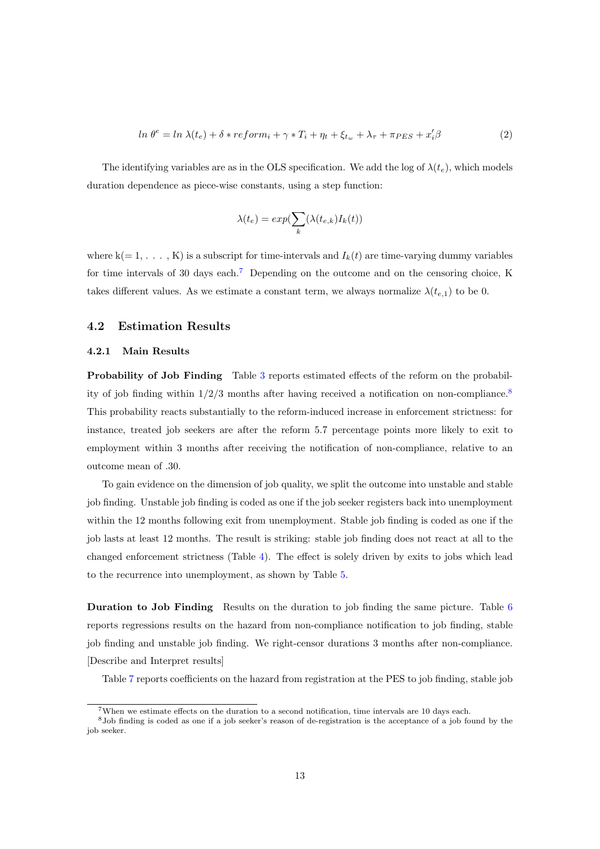<span id="page-12-0"></span>
$$
\ln \theta^e = \ln \lambda(t_e) + \delta * reform_i + \gamma * T_i + \eta_t + \xi_{t_w} + \lambda_{\tau} + \pi_{PES} + x_i' \beta \tag{2}
$$

The identifying variables are as in the OLS specification. We add the log of  $\lambda(t_e)$ , which models duration dependence as piece-wise constants, using a step function:

$$
\lambda(t_e) = exp(\sum_k (\lambda(t_{e,k}) I_k(t))
$$

where  $k(= 1, \ldots, K)$  is a subscript for time-intervals and  $I_k(t)$  are time-varying dummy variables for time intervals of 30 days each.[7](#page-0-0) Depending on the outcome and on the censoring choice, K takes different values. As we estimate a constant term, we always normalize  $\lambda(t_{e,1})$  to be 0.

### 4.2 Estimation Results

### 4.2.1 Main Results

Probability of Job Finding Table [3](#page-17-0) reports estimated effects of the reform on the probability of job finding within  $1/2/3$  months after having received a notification on non-compliance.<sup>[8](#page-0-0)</sup> This probability reacts substantially to the reform-induced increase in enforcement strictness: for instance, treated job seekers are after the reform 5.7 percentage points more likely to exit to employment within 3 months after receiving the notification of non-compliance, relative to an outcome mean of .30.

To gain evidence on the dimension of job quality, we split the outcome into unstable and stable job finding. Unstable job finding is coded as one if the job seeker registers back into unemployment within the 12 months following exit from unemployment. Stable job finding is coded as one if the job lasts at least 12 months. The result is striking: stable job finding does not react at all to the changed enforcement strictness (Table [4\)](#page-17-1). The effect is solely driven by exits to jobs which lead to the recurrence into unemployment, as shown by Table [5.](#page-17-2)

Duration to Job Finding Results on the duration to job finding the same picture. Table [6](#page-18-0) reports regressions results on the hazard from non-compliance notification to job finding, stable job finding and unstable job finding. We right-censor durations 3 months after non-compliance. [Describe and Interpret results]

Table [7](#page-18-1) reports coefficients on the hazard from registration at the PES to job finding, stable job

<sup>7</sup>When we estimate effects on the duration to a second notification, time intervals are 10 days each.

<sup>8</sup>Job finding is coded as one if a job seeker's reason of de-registration is the acceptance of a job found by the job seeker.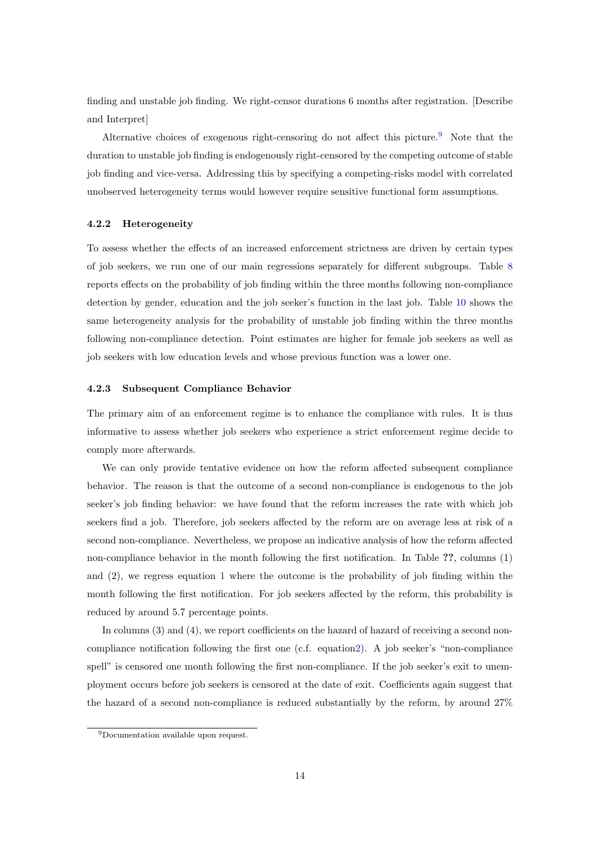finding and unstable job finding. We right-censor durations 6 months after registration. [Describe and Interpret]

Alternative choices of exogenous right-censoring do not affect this picture.<sup>[9](#page-0-0)</sup> Note that the duration to unstable job finding is endogenously right-censored by the competing outcome of stable job finding and vice-versa. Addressing this by specifying a competing-risks model with correlated unobserved heterogeneity terms would however require sensitive functional form assumptions.

#### 4.2.2 Heterogeneity

To assess whether the effects of an increased enforcement strictness are driven by certain types of job seekers, we run one of our main regressions separately for different subgroups. Table [8](#page-18-2) reports effects on the probability of job finding within the three months following non-compliance detection by gender, education and the job seeker's function in the last job. Table [10](#page-19-0) shows the same heterogeneity analysis for the probability of unstable job finding within the three months following non-compliance detection. Point estimates are higher for female job seekers as well as job seekers with low education levels and whose previous function was a lower one.

#### 4.2.3 Subsequent Compliance Behavior

The primary aim of an enforcement regime is to enhance the compliance with rules. It is thus informative to assess whether job seekers who experience a strict enforcement regime decide to comply more afterwards.

We can only provide tentative evidence on how the reform affected subsequent compliance behavior. The reason is that the outcome of a second non-compliance is endogenous to the job seeker's job finding behavior: we have found that the reform increases the rate with which job seekers find a job. Therefore, job seekers affected by the reform are on average less at risk of a second non-compliance. Nevertheless, we propose an indicative analysis of how the reform affected non-compliance behavior in the month following the first notification. In Table ??, columns (1) and (2), we regress equation [1](#page-11-0) where the outcome is the probability of job finding within the month following the first notification. For job seekers affected by the reform, this probability is reduced by around 5.7 percentage points.

In columns (3) and (4), we report coefficients on the hazard of hazard of receiving a second noncompliance notification following the first one (c.f. equatio[n2\)](#page-12-0). A job seeker's "non-compliance spell" is censored one month following the first non-compliance. If the job seeker's exit to unemployment occurs before job seekers is censored at the date of exit. Coefficients again suggest that the hazard of a second non-compliance is reduced substantially by the reform, by around 27%

<sup>9</sup>Documentation available upon request.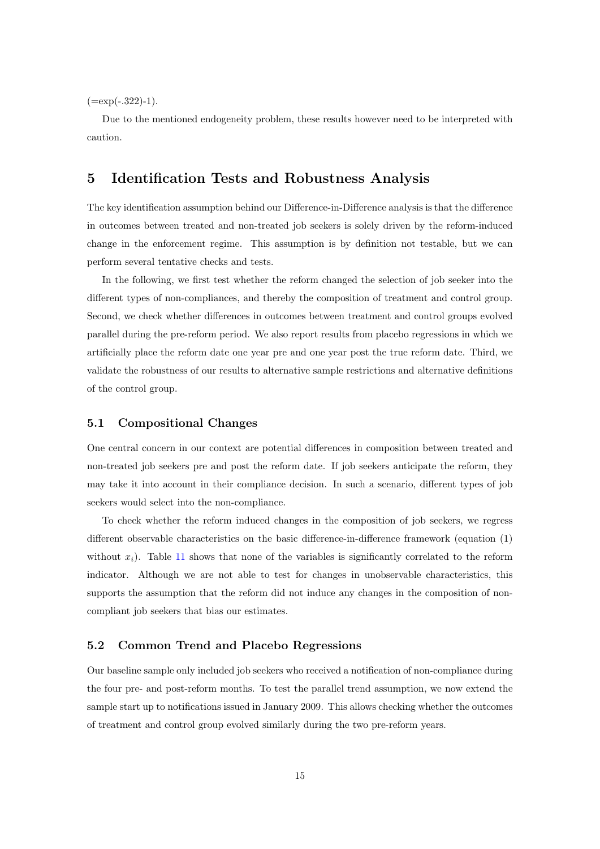$(=\exp(-.322)-1).$ 

Due to the mentioned endogeneity problem, these results however need to be interpreted with caution.

# 5 Identification Tests and Robustness Analysis

The key identification assumption behind our Difference-in-Difference analysis is that the difference in outcomes between treated and non-treated job seekers is solely driven by the reform-induced change in the enforcement regime. This assumption is by definition not testable, but we can perform several tentative checks and tests.

In the following, we first test whether the reform changed the selection of job seeker into the different types of non-compliances, and thereby the composition of treatment and control group. Second, we check whether differences in outcomes between treatment and control groups evolved parallel during the pre-reform period. We also report results from placebo regressions in which we artificially place the reform date one year pre and one year post the true reform date. Third, we validate the robustness of our results to alternative sample restrictions and alternative definitions of the control group.

### 5.1 Compositional Changes

One central concern in our context are potential differences in composition between treated and non-treated job seekers pre and post the reform date. If job seekers anticipate the reform, they may take it into account in their compliance decision. In such a scenario, different types of job seekers would select into the non-compliance.

To check whether the reform induced changes in the composition of job seekers, we regress different observable characteristics on the basic difference-in-difference framework (equation (1) without  $x_i$ ). Table [11](#page-19-1) shows that none of the variables is significantly correlated to the reform indicator. Although we are not able to test for changes in unobservable characteristics, this supports the assumption that the reform did not induce any changes in the composition of noncompliant job seekers that bias our estimates.

### 5.2 Common Trend and Placebo Regressions

Our baseline sample only included job seekers who received a notification of non-compliance during the four pre- and post-reform months. To test the parallel trend assumption, we now extend the sample start up to notifications issued in January 2009. This allows checking whether the outcomes of treatment and control group evolved similarly during the two pre-reform years.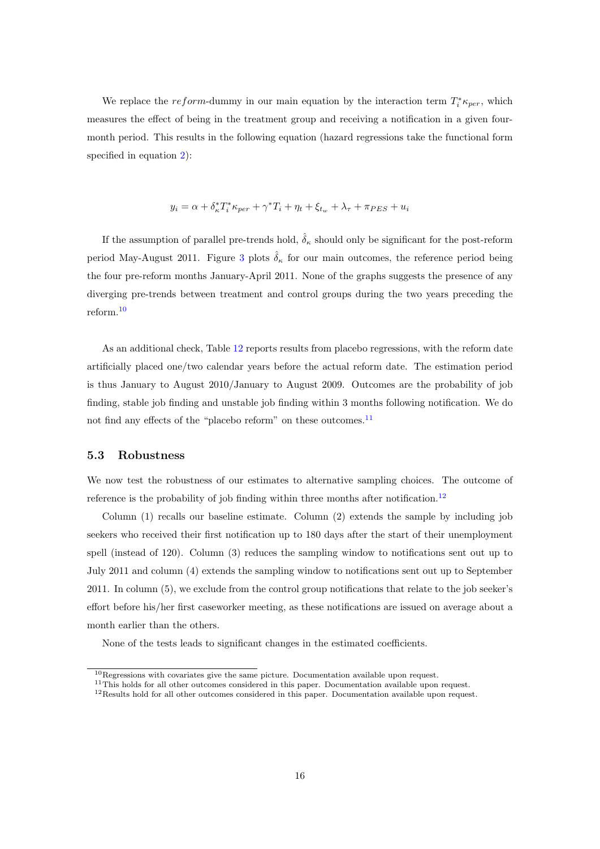We replace the reform-dummy in our main equation by the interaction term  $T_i^* \kappa_{per}$ , which measures the effect of being in the treatment group and receiving a notification in a given fourmonth period. This results in the following equation (hazard regressions take the functional form specified in equation [2\)](#page-12-0):

$$
y_i = \alpha + \delta_\kappa^* T_i^* \kappa_{per} + \gamma^* T_i + \eta_t + \xi_{t_w} + \lambda_\tau + \pi_{PES} + u_i
$$

If the assumption of parallel pre-trends hold,  $\hat{\delta}_{\kappa}$  should only be significant for the post-reform period May-August 2011. Figure [3](#page-20-0) plots  $\hat{\delta}_{\kappa}$  for our main outcomes, the reference period being the four pre-reform months January-April 2011. None of the graphs suggests the presence of any diverging pre-trends between treatment and control groups during the two years preceding the reform.[10](#page-0-0)

As an additional check, Table [12](#page-21-0) reports results from placebo regressions, with the reform date artificially placed one/two calendar years before the actual reform date. The estimation period is thus January to August 2010/January to August 2009. Outcomes are the probability of job finding, stable job finding and unstable job finding within 3 months following notification. We do not find any effects of the "placebo reform" on these outcomes.<sup>[11](#page-0-0)</sup>

#### 5.3 Robustness

We now test the robustness of our estimates to alternative sampling choices. The outcome of reference is the probability of job finding within three months after notification.<sup>[12](#page-0-0)</sup>

Column (1) recalls our baseline estimate. Column (2) extends the sample by including job seekers who received their first notification up to 180 days after the start of their unemployment spell (instead of 120). Column (3) reduces the sampling window to notifications sent out up to July 2011 and column (4) extends the sampling window to notifications sent out up to September 2011. In column (5), we exclude from the control group notifications that relate to the job seeker's effort before his/her first caseworker meeting, as these notifications are issued on average about a month earlier than the others.

None of the tests leads to significant changes in the estimated coefficients.

 $^{10}\rm{Regression}$  with covariates give the same picture. Documentation available upon request.

 $11$ This holds for all other outcomes considered in this paper. Documentation available upon request.

<sup>12</sup>Results hold for all other outcomes considered in this paper. Documentation available upon request.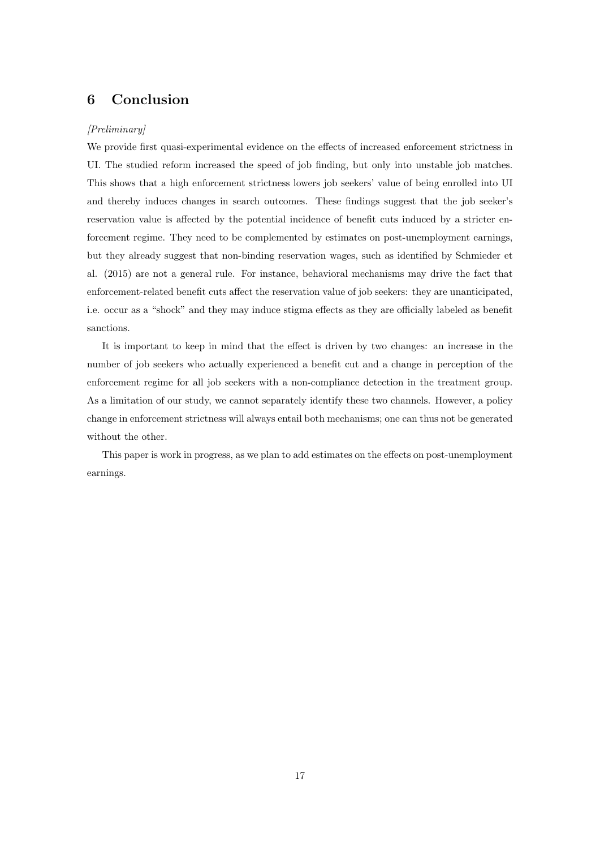# 6 Conclusion

### [Preliminary]

We provide first quasi-experimental evidence on the effects of increased enforcement strictness in UI. The studied reform increased the speed of job finding, but only into unstable job matches. This shows that a high enforcement strictness lowers job seekers' value of being enrolled into UI and thereby induces changes in search outcomes. These findings suggest that the job seeker's reservation value is affected by the potential incidence of benefit cuts induced by a stricter enforcement regime. They need to be complemented by estimates on post-unemployment earnings, but they already suggest that non-binding reservation wages, such as identified by Schmieder et al. (2015) are not a general rule. For instance, behavioral mechanisms may drive the fact that enforcement-related benefit cuts affect the reservation value of job seekers: they are unanticipated, i.e. occur as a "shock" and they may induce stigma effects as they are officially labeled as benefit sanctions.

It is important to keep in mind that the effect is driven by two changes: an increase in the number of job seekers who actually experienced a benefit cut and a change in perception of the enforcement regime for all job seekers with a non-compliance detection in the treatment group. As a limitation of our study, we cannot separately identify these two channels. However, a policy change in enforcement strictness will always entail both mechanisms; one can thus not be generated without the other.

This paper is work in progress, as we plan to add estimates on the effects on post-unemployment earnings.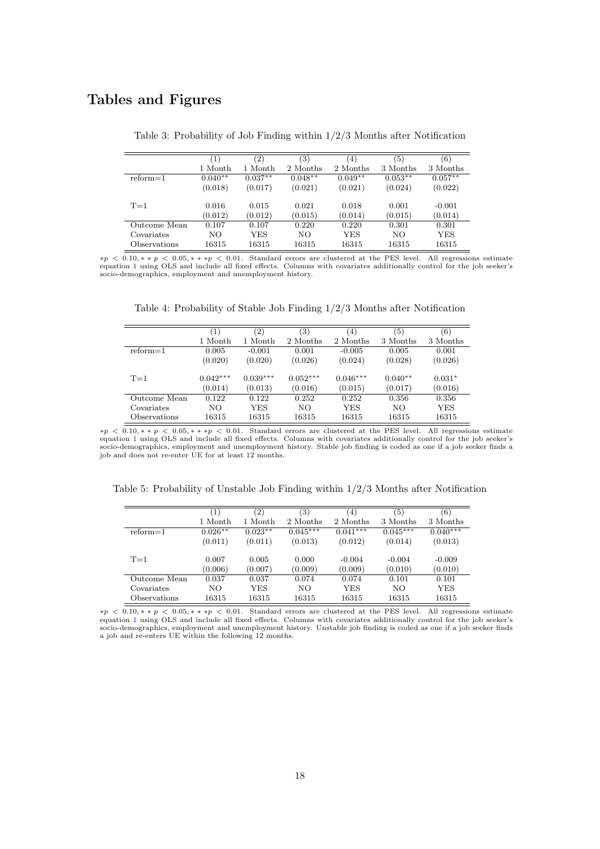# <span id="page-17-0"></span>Tables and Figures

|              | $\left( 1\right)$ | (2)        | $\left( 3\right)$ | (4)        | $\left(5\right)$ | (6)       |
|--------------|-------------------|------------|-------------------|------------|------------------|-----------|
|              | 1 Month           | 1 Month    | 2 Months          | 2 Months   | 3 Months         | 3 Months  |
| $reform=1$   | $0.040**$         | $0.037**$  | $0.048**$         | $0.049**$  | $0.053**$        | $0.057**$ |
|              | (0.018)           | (0.017)    | (0.021)           | (0.021)    | (0.024)          | (0.022)   |
| $T=1$        | 0.016             | 0.015      | 0.021             | 0.018      | 0.001            | $-0.001$  |
|              | (0.012)           | (0.012)    | (0.015)           | (0.014)    | (0.015)          | (0.014)   |
| Outcome Mean | 0.107             | 0.107      | 0.220             | 0.220      | 0.301            | 0.301     |
| Covariates   | NO.               | <b>YES</b> | NO.               | <b>YES</b> | NO.              | YES       |
| Observations | 16315             | 16315      | 16315             | 16315      | 16315            | 16315     |

Table 3: Probability of Job Finding within 1/2/3 Months after Notification

<span id="page-17-1"></span> $*p < 0.10, **p < 0.05, **p < 0.01$  $*p < 0.10, **p < 0.05, **p < 0.01$  $*p < 0.10, **p < 0.05, **p < 0.01$ . Standard errors are clustered at the PES level. All regressions estimate equation 1 using OLS and include all fixed effects. Columns with covariates additionally control for the job seek socio-demographics, employment and unemployment history.

Table 4: Probability of Stable Job Finding 1/2/3 Months after Notification

|              | (1)        | (2)        | (3)        | (4)        | (5)       | (6)      |
|--------------|------------|------------|------------|------------|-----------|----------|
|              | 1 Month    | 1 Month    | 2 Months   | 2 Months   | 3 Months  | 3 Months |
| $reform=1$   | 0.005      | $-0.001$   | 0.001      | $-0.005$   | 0.005     | 0.001    |
|              | (0.020)    | (0.020)    | (0.026)    | (0.024)    | (0.028)   | (0.026)  |
|              |            |            |            |            |           |          |
| $T=1$        | $0.042***$ | $0.039***$ | $0.052***$ | $0.046***$ | $0.040**$ | $0.031*$ |
|              | (0.014)    | (0.013)    | (0.016)    | (0.015)    | (0.017)   | (0.016)  |
| Outcome Mean | 0.122      | 0.122      | 0.252      | 0.252      | 0.356     | 0.356    |
| Covariates   | NO.        | YES        | NO.        | YES        | NO.       | YES      |
| Observations | 16315      | 16315      | 16315      | 16315      | 16315     | 16315    |

∗p < 0.10, ∗ ∗ p < 0.05, ∗ ∗ ∗p < 0.01. Standard errors are clustered at the PES level. All regressions estimate equation [1](#page-11-0) using OLS and include all fixed effects. Columns with covariates additionally control for the job seeker's socio-demographics, employment and unemployment history. Stable job finding is coded as one if a job seeker finds a job and does not re-enter UE for at least 12 months.

<span id="page-17-2"></span>Table 5: Probability of Unstable Job Finding within 1/2/3 Months after Notification

|              | $\left(1\right)$ | (2)       | $\left( 3\right)$ | (4)        | $\left(5\right)$ | (6)        |
|--------------|------------------|-----------|-------------------|------------|------------------|------------|
|              | 1 Month          | 1 Month   | 2 Months          | 2 Months   | 3 Months         | 3 Months   |
| $reform=1$   | $0.026**$        | $0.023**$ | $0.045***$        | $0.041***$ | $0.045***$       | $0.040***$ |
|              | (0.011)          | (0.011)   | (0.013)           | (0.012)    | (0.014)          | (0.013)    |
| $T=1$        | 0.007            | 0.005     | 0.000             | $-0.004$   | $-0.004$         | $-0.009$   |
|              | (0.006)          | (0.007)   | (0.009)           | (0.009)    | (0.010)          | (0.010)    |
| Outcome Mean | 0.037            | 0.037     | 0.074             | 0.074      | 0.101            | 0.101      |
| Covariates   | NO               | YES       | NO.               | <b>YES</b> | NO.              | <b>YES</b> |
| Observations | 16315            | 16315     | 16315             | 16315      | 16315            | 16315      |

 $*p < 0.10, **p < 0.05, **p < 0.01.$  Standard errors are clustered at the PES level. All regressions estimate equation [1](#page-11-0) using OLS and include all fixed effects. Columns with covariates additionally control for the job seeker's socio-demographics, employment and unemployment history. Unstable job finding is coded as one if a job seeker finds a job and re-enters UE within the following 12 months.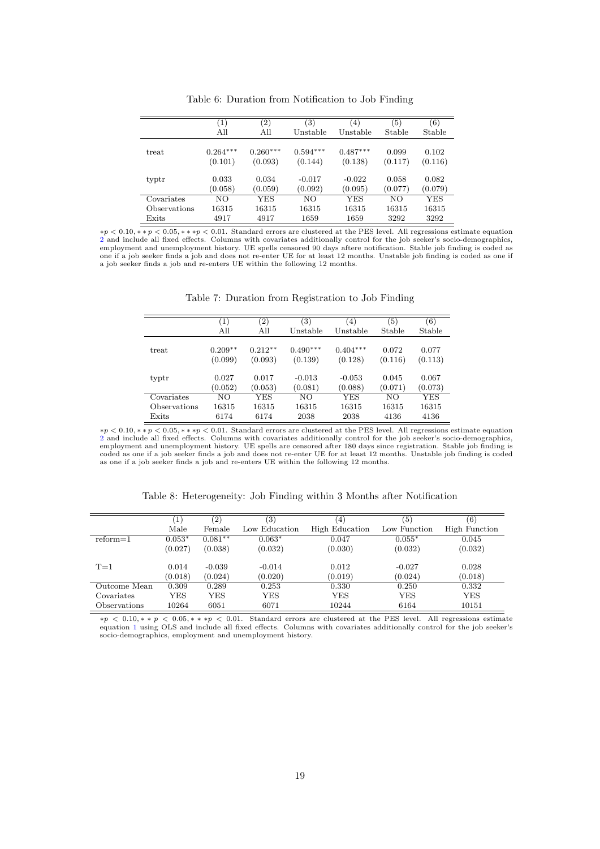<span id="page-18-0"></span>

|              | (1)        | $\left( 2\right)$ | 3)         | (4)        | (5)     | (6)     |
|--------------|------------|-------------------|------------|------------|---------|---------|
|              | All        | All               | Unstable   | Unstable   | Stable  | Stable  |
|              |            |                   |            |            |         |         |
| treat        | $0.264***$ | $0.260***$        | $0.594***$ | $0.487***$ | 0.099   | 0.102   |
|              | (0.101)    | (0.093)           | (0.144)    | (0.138)    | (0.117) | (0.116) |
| typtr        | 0.033      | 0.034             | $-0.017$   | $-0.022$   | 0.058   | 0.082   |
|              | (0.058)    | (0.059)           | (0.092)    | (0.095)    | (0.077) | (0.079) |
| Covariates   | NO.        | YES               | NO.        | YES        | NO.     | YES     |
| Observations | 16315      | 16315             | 16315      | 16315      | 16315   | 16315   |
| Exits        | 4917       | 4917              | 1659       | 1659       | 3292    | 3292    |

Table 6: Duration from Notification to Job Finding

<span id="page-18-1"></span> $*p < 0.10, **p < 0.05, ***p < 0.01$ . Standard errors are clustered at the PES level. All regressions estimate equation [2](#page-12-0) and include all fixed effects. Columns with covariates additionally control for the job seeker's socio employment and unemployment history. UE spells censored 90 days aftere notification. Stable job finding is coded as one if a job seeker finds a job and does not re-enter UE for at least 12 months. Unstable job finding is coded as one if a job seeker finds a job and re-enters UE within the following 12 months.

|  | Table 7: Duration from Registration to Job Finding |  |  |
|--|----------------------------------------------------|--|--|
|  |                                                    |  |  |

|              | $\left(1\right)$ | $\left( 2\right)$ | $\left(3\right)$ | (4)        | (5)     | (6)     |
|--------------|------------------|-------------------|------------------|------------|---------|---------|
|              | All              | All               | Unstable         | Unstable   | Stable  | Stable  |
| treat        | $0.209**$        | $0.212**$         | $0.490***$       | $0.404***$ | 0.072   | 0.077   |
|              | (0.099)          | (0.093)           | (0.139)          | (0.128)    | (0.116) | (0.113) |
| typtr        | 0.027            | 0.017             | $-0.013$         | $-0.053$   | 0.045   | 0.067   |
|              | (0.052)          | (0.053)           | (0.081)          | (0.088)    | (0.071) | (0.073) |
| Covariates   | NO.              | YES               | NO.              | <b>YES</b> | NO.     | YES     |
| Observations | 16315            | 16315             | 16315            | 16315      | 16315   | 16315   |
| Exits        | 6174             | 6174              | 2038             | 2038       | 4136    | 4136    |

∗p < 0.10, ∗ ∗ p < 0.05, ∗ ∗ ∗p < 0.01. Standard errors are clustered at the PES level. All regressions estimate equation [2](#page-12-0) and include all fixed effects. Columns with covariates additionally control for the job seeker's socio-demographics, employment and unemployment history. UE spells are censored after 180 days since registration. Stable job finding is coded as one if a job seeker finds a job and does not re-enter UE for at least 12 months. Unstable job finding is coded as one if a job seeker finds a job and re-enters UE within the following 12 months.

<span id="page-18-2"></span>

|              | $\left(1\right)$ | (2)       | $\left( 3\right)$ | $\left(4\right)$ | (5)          | (6)                  |
|--------------|------------------|-----------|-------------------|------------------|--------------|----------------------|
|              | Male             | Female    | Low Education     | High Education   | Low Function | <b>High Function</b> |
| $reform=1$   | $0.053*$         | $0.081**$ | $0.063*$          | 0.047            | $0.055*$     | 0.045                |
|              | (0.027)          | (0.038)   | (0.032)           | (0.030)          | (0.032)      | (0.032)              |
| $T=1$        | 0.014            | $-0.039$  | $-0.014$          | 0.012            | $-0.027$     | 0.028                |
|              | (0.018)          | (0.024)   | (0.020)           | (0.019)          | (0.024)      | (0.018)              |
| Outcome Mean | 0.309            | 0.289     | 0.253             | 0.330            | 0.250        | 0.332                |
| Covariates   | YES              | YES       | <b>YES</b>        | <b>YES</b>       | YES          | <b>YES</b>           |
| Observations | 10264            | 6051      | 6071              | 10244            | 6164         | 10151                |

Table 8: Heterogeneity: Job Finding within 3 Months after Notification

∗p < 0.10, ∗ ∗ p < 0.05, ∗ ∗ ∗p < 0.01. Standard errors are clustered at the PES level. All regressions estimate equation [1](#page-11-0) using OLS and include all fixed effects. Columns with covariates additionally control for the job seeker's socio-demographics, employment and unemployment history.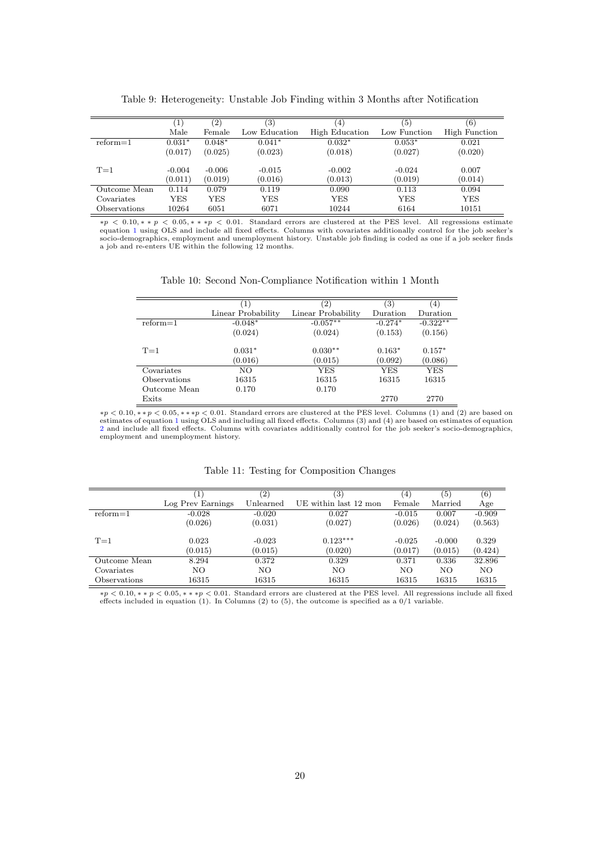|              | $\left(1\right)$ | $\left( 2\right)$ | $\left( 3\right)$ | $\left( 4\right)$ | (5)          | (6)           |
|--------------|------------------|-------------------|-------------------|-------------------|--------------|---------------|
|              | Male             | Female            | Low Education     | High Education    | Low Function | High Function |
| $reform=1$   | $0.031*$         | $0.048*$          | $0.041*$          | $0.032*$          | $0.053*$     | 0.021         |
|              | (0.017)          | (0.025)           | (0.023)           | (0.018)           | (0.027)      | (0.020)       |
|              |                  |                   |                   |                   |              |               |
| $T=1$        | $-0.004$         | $-0.006$          | $-0.015$          | $-0.002$          | $-0.024$     | 0.007         |
|              | (0.011)          | (0.019)           | (0.016)           | (0.013)           | (0.019)      | (0.014)       |
| Outcome Mean | 0.114            | 0.079             | 0.119             | 0.090             | 0.113        | 0.094         |
| Covariates   | YES              | YES               | YES               | YES               | YES          | YES           |
| Observations | 10264            | 6051              | 6071              | 10244             | 6164         | 10151         |

Table 9: Heterogeneity: Unstable Job Finding within 3 Months after Notification

<span id="page-19-0"></span> $*p < 0.10, * * p < 0.05, ** * p < 0.01$  $*p < 0.10, * * p < 0.05, ** * p < 0.01$  $*p < 0.10, * * p < 0.05, ** * p < 0.01$ . Standard errors are clustered at the PES level. All regressions estimate equation 1 using OLS and include all fixed effects. Columns with covariates additionally control for the job se

| Table 10: Second Non-Compliance Notification within 1 Month |  |  |  |
|-------------------------------------------------------------|--|--|--|
|-------------------------------------------------------------|--|--|--|

|                     | L.                 | $\left( 2\right)$  | (3)        | $\left(4\right)$ |
|---------------------|--------------------|--------------------|------------|------------------|
|                     | Linear Probability | Linear Probability | Duration   | Duration         |
| $reform=1$          | $-0.048*$          | $-0.057**$         | $-0.274*$  | $-0.322**$       |
|                     | (0.024)            | (0.024)            | (0.153)    | (0.156)          |
| $T=1$               | $0.031*$           | $0.030**$          | $0.163*$   | $0.157*$         |
|                     | (0.016)            | (0.015)            | (0.092)    | (0.086)          |
| Covariates          | NO.                | YES                | <b>YES</b> | YES              |
| <b>Observations</b> | 16315              | 16315              | 16315      | 16315            |
| Outcome Mean        | 0.170              | 0.170              |            |                  |
| Exits               |                    |                    | 2770       | 2770             |

 $*p < 0.10, **p < 0.05, ***p < 0.01$  $*p < 0.10, **p < 0.05, ***p < 0.01$  $*p < 0.10, **p < 0.05, ***p < 0.01$ . Standard errors are clustered at the PES level. Columns (1) and (2) are based on estimates of equation 1 using OLS and including all fixed effects. Columns (3) and (4) are based on estimates o [2](#page-12-0) and include all fixed effects. Columns with covariates additionally control for the job seeker's socio-demographics, employment and unemployment history.

Table 11: Testing for Composition Changes

<span id="page-19-1"></span>

|              |                   | $\left( 2\right)$ | (3)                   | (4)      | (5)      | $^{\rm (6)}$ |
|--------------|-------------------|-------------------|-----------------------|----------|----------|--------------|
|              | Log Prev Earnings | Unlearned         | UE within last 12 mon | Female   | Married  | Age          |
| $reform=1$   | $-0.028$          | $-0.020$          | 0.027                 | $-0.015$ | 0.007    | $-0.909$     |
|              | (0.026)           | (0.031)           | (0.027)               | (0.026)  | (0.024)  | (0.563)      |
| $T=1$        | 0.023             | $-0.023$          | $0.123***$            | $-0.025$ | $-0.000$ | 0.329        |
|              | (0.015)           | (0.015)           | (0.020)               | (0.017)  | (0.015)  | (0.424)      |
| Outcome Mean | 8.294             | 0.372             | 0.329                 | 0.371    | 0.336    | 32.896       |
| Covariates   | NO                | NO.               | NO                    | NO       | NO.      | NO.          |
| Observations | 16315             | 16315             | 16315                 | 16315    | 16315    | 16315        |

∗p < 0.10, ∗ ∗ p < 0.05, ∗ ∗ ∗p < 0.01. Standard errors are clustered at the PES level. All regressions include all fixed effects included in equation (1). In Columns (2) to (5), the outcome is specified as a 0/1 variable.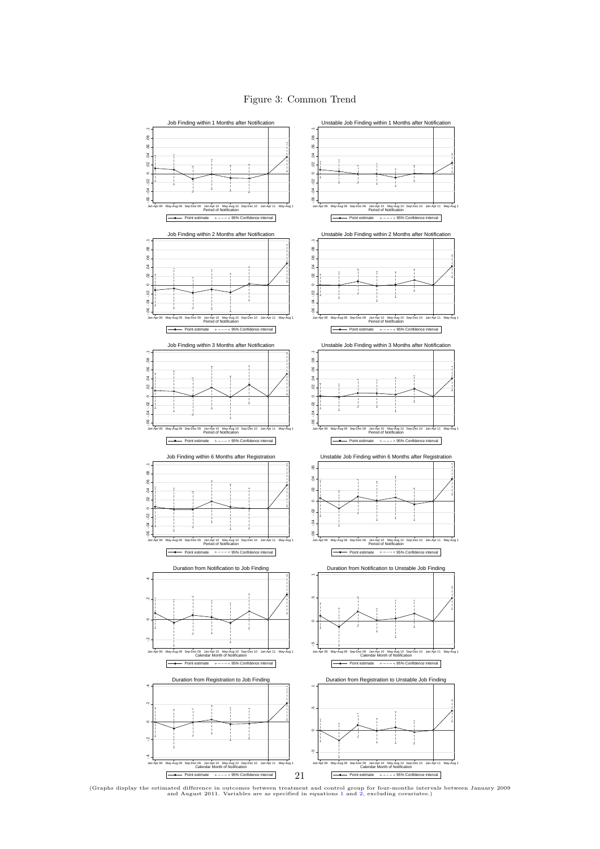

<span id="page-20-0"></span>

(Graphs display the estimated difference in outcomes between treatment and control group for four-months intervals between January 2009 and August 2011. Variables are as specified in equations [1](#page-11-0) and [2,](#page-12-0) excluding covariates.)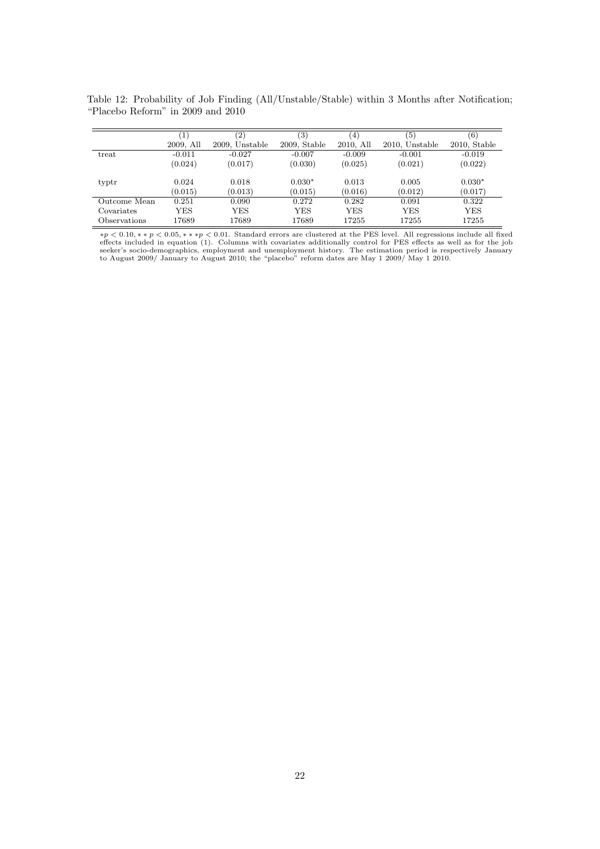|              | $\mathbf{1}$ | (2)            | 3)              | (4)       | $\left(5\right)$ | (6)             |
|--------------|--------------|----------------|-----------------|-----------|------------------|-----------------|
|              | 2009, All    | 2009. Unstable | $2009$ , Stable | 2010, All | 2010, Unstable   | $2010$ , Stable |
| treat        | $-0.011$     | $-0.027$       | $-0.007$        | $-0.009$  | $-0.001$         | $-0.019$        |
|              | (0.024)      | (0.017)        | (0.030)         | (0.025)   | (0.021)          | (0.022)         |
| typtr        | 0.024        | 0.018          | $0.030*$        | 0.013     | 0.005            | $0.030*$        |
|              | (0.015)      | (0.013)        | (0.015)         | (0.016)   | (0.012)          | (0.017)         |
| Outcome Mean | 0.251        | 0.090          | 0.272           | 0.282     | 0.091            | 0.322           |
| Covariates   | YES          | YES            | YES             | YES       | YES              | YES             |
| Observations | 17689        | 17689          | 17689           | 17255     | 17255            | 17255           |

<span id="page-21-0"></span>Table 12: Probability of Job Finding (All/Unstable/Stable) within 3 Months after Notification; "Placebo Reform" in 2009 and 2010

 $*p < 0.10, **p < 0.05, ***p < 0.01$ . Standard errors are clustered at the PES level. All regressions include all fixed effects included in equation (1). Columns with covariates additionally control for PES effects as well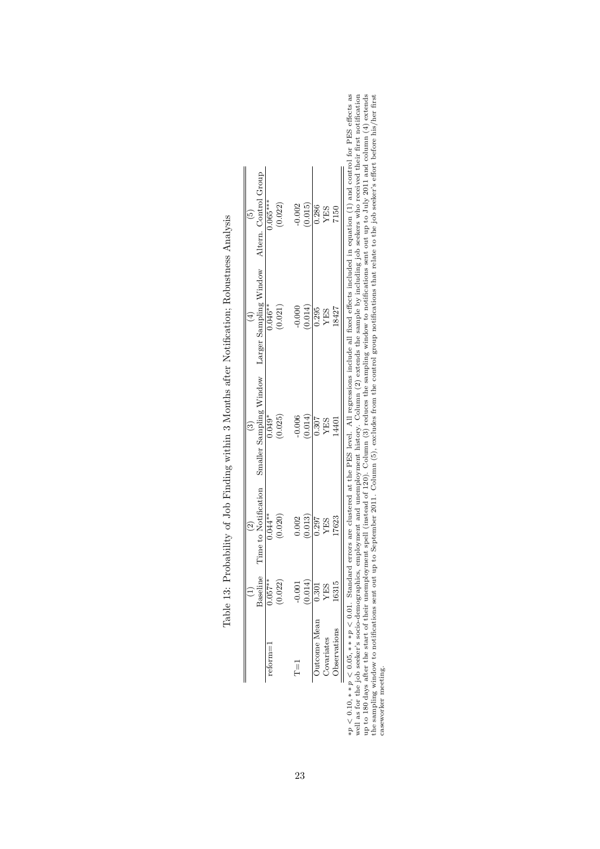|                   |                    | $\widehat{\mathfrak{S}}$ |                                                                                                                                                                                                                                                                                                                                                                                                                                                                                                                                                      |                        | $\widetilde{5}$                  |
|-------------------|--------------------|--------------------------|------------------------------------------------------------------------------------------------------------------------------------------------------------------------------------------------------------------------------------------------------------------------------------------------------------------------------------------------------------------------------------------------------------------------------------------------------------------------------------------------------------------------------------------------------|------------------------|----------------------------------|
|                   | <b>Saseline</b>    | Time to Notification     | $$\overline{\text{Smaller}}}^{(3)}_{\text{analyling}}$ \begin{minipage}{.4\linewidth} \label{eq:1} \begin{minipage}{.4\linewidth} \begin{minipage}{.4\linewidth} \begin{tabular}{l} \multicolumn{3}{c}{\text{8.5}} \end{tabular} \end{minipage} \end{minipage} \begin{minipage}{.4\linewidth} \end{minipage} \begin{minipage}{.4\linewidth} \begin{minipage}{.4\linewidth} \begin{minipage}{.4\linewidth} \end{minipage} \end{minipage} \end{minipage} \begin{minipage}{.4\linewidth} \begin{minipage}{.4\linewidth} \begin{minipage}{.4\linewidth}$ | Larger Sampling Window | Altern. Control Group $0.065***$ |
| etorm=            | $0.057**$          | $0.044**$                |                                                                                                                                                                                                                                                                                                                                                                                                                                                                                                                                                      | $0.046***$             |                                  |
|                   | (0.022)            | (0.020)                  | (0.025)                                                                                                                                                                                                                                                                                                                                                                                                                                                                                                                                              | (0.021)                | (0.022)                          |
| 교                 | $-0.001$           | 0.002                    |                                                                                                                                                                                                                                                                                                                                                                                                                                                                                                                                                      |                        | $-0.002$                         |
|                   | (0.014)            | (0.013)                  | $-0.006$<br>$(0.014)$                                                                                                                                                                                                                                                                                                                                                                                                                                                                                                                                | (0.014)                | (0.015)                          |
| Jutcome Mean      | $\overline{0.301}$ | 0.297                    |                                                                                                                                                                                                                                                                                                                                                                                                                                                                                                                                                      | $\frac{0.295}{0.295}$  | 0.286                            |
| <b>Covariates</b> | <b>YES</b>         | YES                      | $\begin{array}{c} 0.307 \\ \text{YES} \\ \text{14401} \end{array}$                                                                                                                                                                                                                                                                                                                                                                                                                                                                                   | YES                    | YES                              |
| bservations       | 16315              | 17623                    |                                                                                                                                                                                                                                                                                                                                                                                                                                                                                                                                                      | 18427                  | 7150                             |

Table 13: Probability of Job Finding within 3 Months after Notification; Robustness Analysis Table 13: Probability of Job Finding within 3 Months after Notification; Robustness Analysis

 $*p < 0.10, **p < 0.05, ***p < 0.01$ . Standard errors are clustered at the PES level. All regressions include all fixed effects included in equation (1) and control for PES effects as well as for the job seeker's socio-demog ∗p < 0.10, ∗ ∗ p < 0.05, ∗ ∗ ∗p < 0.01. Standard errors are clustered at the PES level. All regressions include all fixed effects included in equation (1) and control for PES effects as well as for the job seeker's socio-demographics, employment and unemployment history. Column (2) extends the sample by including job seekers who received their first notification up to 180 days after the start of their unemployment spell (instead of 120). Column (3) reduces the sampling window to notifications sent out up to July 2011 and column (4) extends the sampling window to notifications sent out up to September 2011. Column (5), excludes from the control group notifications that relate to the job seeker's effort before his/her first caseworker meeting.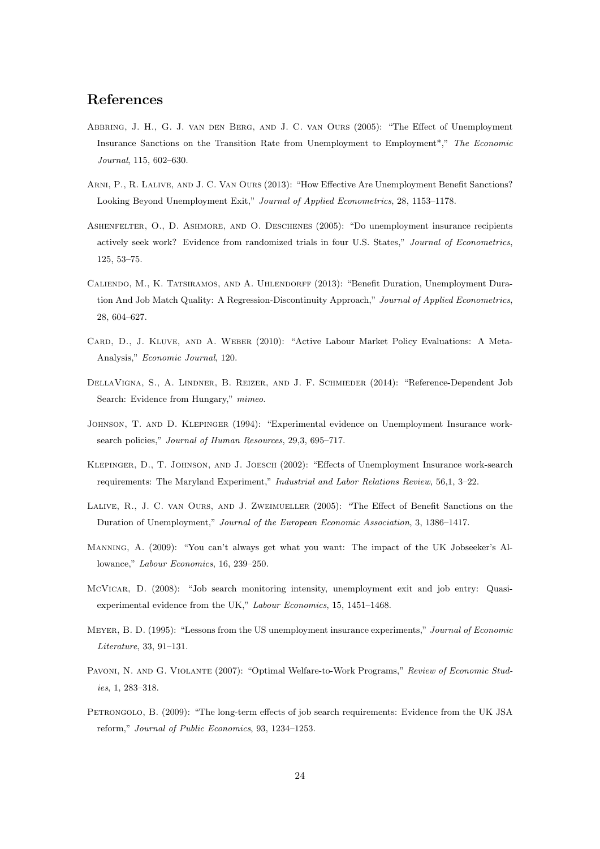# References

- Abbring, J. H., G. J. van den Berg, and J. C. van Ours (2005): "The Effect of Unemployment Insurance Sanctions on the Transition Rate from Unemployment to Employment\*," The Economic Journal, 115, 602–630.
- Arni, P., R. Lalive, and J. C. Van Ours (2013): "How Effective Are Unemployment Benefit Sanctions? Looking Beyond Unemployment Exit," Journal of Applied Econometrics, 28, 1153–1178.
- ASHENFELTER, O., D. ASHMORE, AND O. DESCHENES (2005): "Do unemployment insurance recipients actively seek work? Evidence from randomized trials in four U.S. States," Journal of Econometrics, 125, 53–75.
- Caliendo, M., K. Tatsiramos, and A. Uhlendorff (2013): "Benefit Duration, Unemployment Duration And Job Match Quality: A Regression-Discontinuity Approach," Journal of Applied Econometrics, 28, 604–627.
- Card, D., J. Kluve, and A. Weber (2010): "Active Labour Market Policy Evaluations: A Meta-Analysis," Economic Journal, 120.
- DellaVigna, S., A. Lindner, B. Reizer, and J. F. Schmieder (2014): "Reference-Dependent Job Search: Evidence from Hungary," mimeo.
- Johnson, T. and D. Klepinger (1994): "Experimental evidence on Unemployment Insurance worksearch policies," Journal of Human Resources, 29,3, 695-717.
- Klepinger, D., T. Johnson, and J. Joesch (2002): "Effects of Unemployment Insurance work-search requirements: The Maryland Experiment," Industrial and Labor Relations Review, 56,1, 3–22.
- Lalive, R., J. C. van Ours, and J. Zweimueller (2005): "The Effect of Benefit Sanctions on the Duration of Unemployment," Journal of the European Economic Association, 3, 1386–1417.
- Manning, A. (2009): "You can't always get what you want: The impact of the UK Jobseeker's Allowance," Labour Economics, 16, 239–250.
- McVicar, D. (2008): "Job search monitoring intensity, unemployment exit and job entry: Quasiexperimental evidence from the UK," Labour Economics, 15, 1451–1468.
- Meyer, B. D. (1995): "Lessons from the US unemployment insurance experiments," Journal of Economic Literature, 33, 91–131.
- Pavoni, N. and G. Violante (2007): "Optimal Welfare-to-Work Programs," Review of Economic Studies, 1, 283–318.
- Petrongolo, B. (2009): "The long-term effects of job search requirements: Evidence from the UK JSA reform," Journal of Public Economics, 93, 1234–1253.